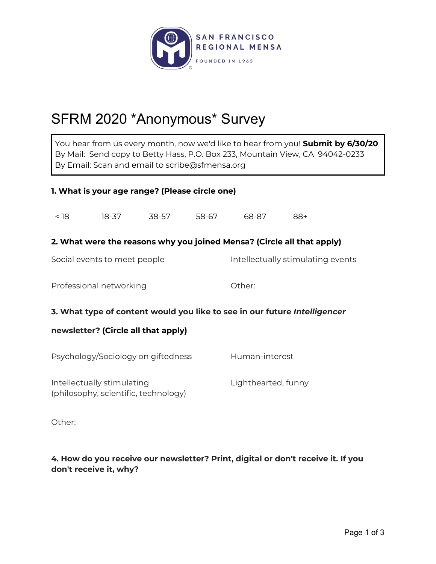

# SFRM 2020 \*Anonymous\* Survey

You hear from us every month, now we'd like to hear from you! **Submit by 6/30/20** By Mail: Send copy to Betty Hass, P.O. Box 233, Mountain View, CA 94042-0233 By Email: Scan and email to scribe@sfmensa.org

### **1. What is your age range? (Please circle one)**

< 18 18-37 38-57 58-67 68-87 88+ **2. What were the reasons why you joined Mensa? (Circle all that apply)** Social events to meet people **Intellectually stimulating events** Professional networking and a common other: **3. What type of content would you like to see in our future** *Intelligencer* **newsletter? (Circle all that apply)** Psychology/Sociology on giftedness Human-interest Intellectually stimulating Theorem Computer Lighthearted, funny (philosophy, scientific, technology)

Other:

**4. How do you receive our newsletter? Print, digital or don't receive it. If you don't receive it, why?**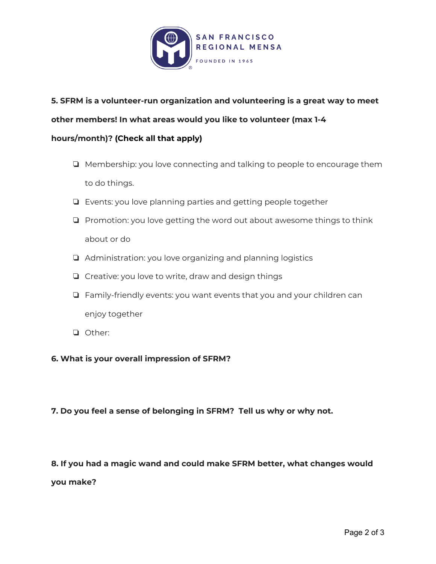

## **5. SFRM is a volunteer-run organization and volunteering is a great way to meet other members! In what areas would you like to volunteer (max 1-4 hours/month)? (Check all that apply)**

- ❏ Membership: you love connecting and talking to people to encourage them to do things.
- ❏ Events: you love planning parties and getting people together
- ❏ Promotion: you love getting the word out about awesome things to think about or do
- ❏ Administration: you love organizing and planning logistics
- ❏ Creative: you love to write, draw and design things
- ❏ Family-friendly events: you want events that you and your children can enjoy together
- ❏ Other:

#### **6. What is your overall impression of SFRM?**

#### **7. Do you feel a sense of belonging in SFRM? Tell us why or why not.**

#### **8. If you had a magic wand and could make SFRM better, what changes would**

**you make?**